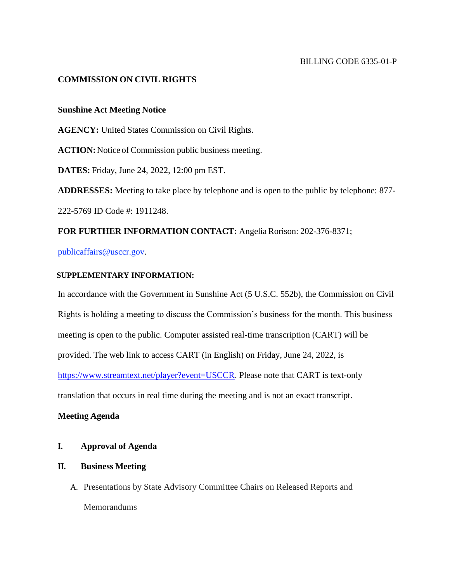## **COMMISSION ON CIVIL RIGHTS**

### **Sunshine Act Meeting Notice**

**AGENCY:** United States Commission on Civil Rights.

**ACTION:**Notice of Commission public business meeting.

**DATES:** Friday, June 24, 2022, 12:00 pm EST.

**ADDRESSES:** Meeting to take place by telephone and is open to the public by telephone: 877- 222-5769 ID Code #: 1911248.

**FOR FURTHER INFORMATION CONTACT:** Angelia Rorison: 202-376-8371;

publicaffairs@usccr.gov.

### **SUPPLEMENTARY INFORMATION:**

In accordance with the Government in Sunshine Act (5 U.S.C. 552b), the Commission on Civil Rights is holding a meeting to discuss the Commission's business for the month. This business meeting is open to the public. Computer assisted real-time transcription (CART) will be provided. The web link to access CART (in English) on Friday, June 24, 2022, is [https://www.streamtext.net/player?event=USCCR.](https://www.streamtext.net/player?event=USCCR) Please note that CART is text-only translation that occurs in real time during the meeting and is not an exact transcript.

### **Meeting Agenda**

# **I. Approval of Agenda**

### **II. Business Meeting**

A. Presentations by State Advisory Committee Chairs on Released Reports and Memorandums